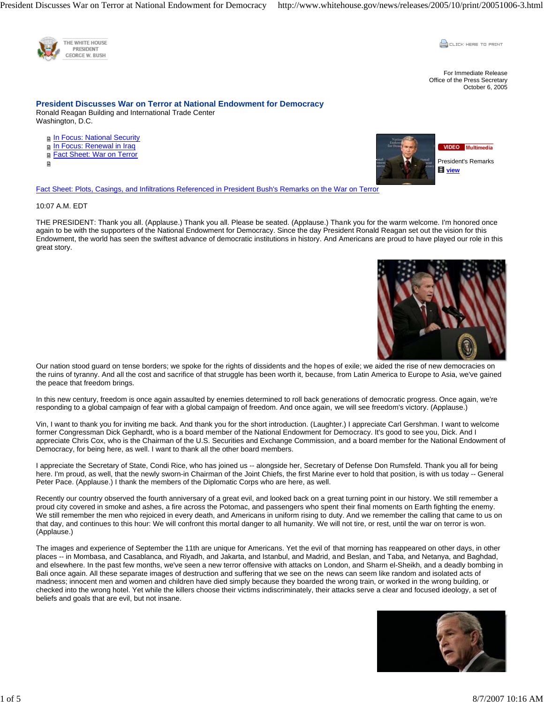

**CLICK HERE TO PRINT** 

For Immediate Release Office of the Press Secretary October 6, 2005

**President Discusses War on Terror at National Endowment for Democracy**  Ronald Reagan Building and International Trade Center Washington, D.C.

- **n** In Focus: National Security **In Focus: Renewal in Iraq Fact Sheet: War on Terror**
- B



Fact Sheet: Plots, Casings, and Infiltrations Referenced in President Bush's Remarks on the War on Terror

## 10:07 A.M. EDT

THE PRESIDENT: Thank you all. (Applause.) Thank you all. Please be seated. (Applause.) Thank you for the warm welcome. I'm honored once again to be with the supporters of the National Endowment for Democracy. Since the day President Ronald Reagan set out the vision for this Endowment, the world has seen the swiftest advance of democratic institutions in history. And Americans are proud to have played our role in this great story.



Our nation stood guard on tense borders; we spoke for the rights of dissidents and the hopes of exile; we aided the rise of new democracies on the ruins of tyranny. And all the cost and sacrifice of that struggle has been worth it, because, from Latin America to Europe to Asia, we've gained the peace that freedom brings.

In this new century, freedom is once again assaulted by enemies determined to roll back generations of democratic progress. Once again, we're responding to a global campaign of fear with a global campaign of freedom. And once again, we will see freedom's victory. (Applause.)

Vin, I want to thank you for inviting me back. And thank you for the short introduction. (Laughter.) I appreciate Carl Gershman. I want to welcome former Congressman Dick Gephardt, who is a board member of the National Endowment for Democracy. It's good to see you, Dick. And I appreciate Chris Cox, who is the Chairman of the U.S. Securities and Exchange Commission, and a board member for the National Endowment of Democracy, for being here, as well. I want to thank all the other board members.

I appreciate the Secretary of State, Condi Rice, who has joined us -- alongside her, Secretary of Defense Don Rumsfeld. Thank you all for being here. I'm proud, as well, that the newly sworn-in Chairman of the Joint Chiefs, the first Marine ever to hold that position, is with us today -- General Peter Pace. (Applause.) I thank the members of the Diplomatic Corps who are here, as well.

Recently our country observed the fourth anniversary of a great evil, and looked back on a great turning point in our history. We still remember a proud city covered in smoke and ashes, a fire across the Potomac, and passengers who spent their final moments on Earth fighting the enemy. We still remember the men who rejoiced in every death, and Americans in uniform rising to duty. And we remember the calling that came to us on that day, and continues to this hour: We will confront this mortal danger to all humanity. We will not tire, or rest, until the war on terror is won. (Applause.)

The images and experience of September the 11th are unique for Americans. Yet the evil of that morning has reappeared on other days, in other places -- in Mombasa, and Casablanca, and Riyadh, and Jakarta, and Istanbul, and Madrid, and Beslan, and Taba, and Netanya, and Baghdad, and elsewhere. In the past few months, we've seen a new terror offensive with attacks on London, and Sharm el-Sheikh, and a deadly bombing in Bali once again. All these separate images of destruction and suffering that we see on the news can seem like random and isolated acts of madness; innocent men and women and children have died simply because they boarded the wrong train, or worked in the wrong building, or checked into the wrong hotel. Yet while the killers choose their victims indiscriminately, their attacks serve a clear and focused ideology, a set of beliefs and goals that are evil, but not insane.

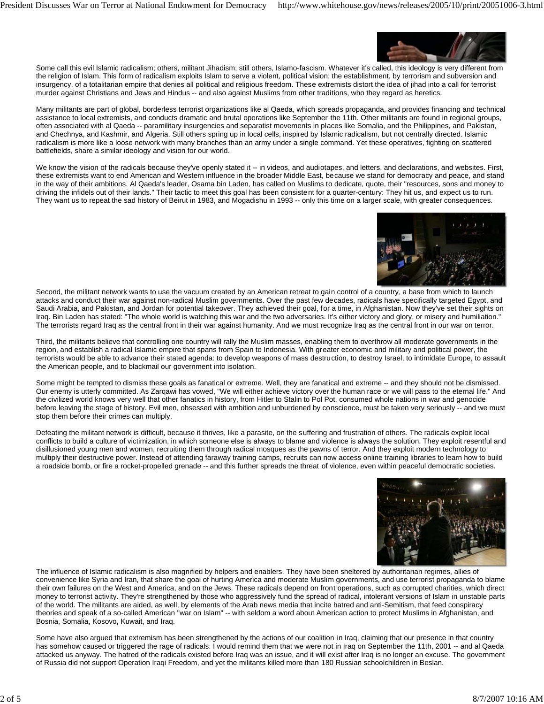

Some call this evil Islamic radicalism; others, militant Jihadism; still others, Islamo-fascism. Whatever it's called, this ideology is very different from the religion of Islam. This form of radicalism exploits Islam to serve a violent, political vision: the establishment, by terrorism and subversion and insurgency, of a totalitarian empire that denies all political and religious freedom. These extremists distort the idea of jihad into a call for terrorist murder against Christians and Jews and Hindus -- and also against Muslims from other traditions, who they regard as heretics.

Many militants are part of global, borderless terrorist organizations like al Qaeda, which spreads propaganda, and provides financing and technical assistance to local extremists, and conducts dramatic and brutal operations like September the 11th. Other militants are found in regional groups, often associated with al Qaeda -- paramilitary insurgencies and separatist movements in places like Somalia, and the Philippines, and Pakistan, and Chechnya, and Kashmir, and Algeria. Still others spring up in local cells, inspired by Islamic radicalism, but not centrally directed. Islamic radicalism is more like a loose network with many branches than an army under a single command. Yet these operatives, fighting on scattered battlefields, share a similar ideology and vision for our world.

We know the vision of the radicals because they've openly stated it -- in videos, and audiotapes, and letters, and declarations, and websites. First, these extremists want to end American and Western influence in the broader Middle East, because we stand for democracy and peace, and stand in the way of their ambitions. Al Qaeda's leader, Osama bin Laden, has called on Muslims to dedicate, quote, their "resources, sons and money to driving the infidels out of their lands." Their tactic to meet this goal has been consistent for a quarter-century: They hit us, and expect us to run. They want us to repeat the sad history of Beirut in 1983, and Mogadishu in 1993 -- only this time on a larger scale, with greater consequences.



Second, the militant network wants to use the vacuum created by an American retreat to gain control of a country, a base from which to launch attacks and conduct their war against non-radical Muslim governments. Over the past few decades, radicals have specifically targeted Egypt, and Saudi Arabia, and Pakistan, and Jordan for potential takeover. They achieved their goal, for a time, in Afghanistan. Now they've set their sights on Iraq. Bin Laden has stated: "The whole world is watching this war and the two adversaries. It's either victory and glory, or misery and humiliation." The terrorists regard Iraq as the central front in their war against humanity. And we must recognize Iraq as the central front in our war on terror.

Third, the militants believe that controlling one country will rally the Muslim masses, enabling them to overthrow all moderate governments in the region, and establish a radical Islamic empire that spans from Spain to Indonesia. With greater economic and military and political power, the terrorists would be able to advance their stated agenda: to develop weapons of mass destruction, to destroy Israel, to intimidate Europe, to assault the American people, and to blackmail our government into isolation.

Some might be tempted to dismiss these goals as fanatical or extreme. Well, they are fanatical and extreme -- and they should not be dismissed. Our enemy is utterly committed. As Zarqawi has vowed, "We will either achieve victory over the human race or we will pass to the eternal life." And the civilized world knows very well that other fanatics in history, from Hitler to Stalin to Pol Pot, consumed whole nations in war and genocide before leaving the stage of history. Evil men, obsessed with ambition and unburdened by conscience, must be taken very seriously -- and we must stop them before their crimes can multiply.

Defeating the militant network is difficult, because it thrives, like a parasite, on the suffering and frustration of others. The radicals exploit local conflicts to build a culture of victimization, in which someone else is always to blame and violence is always the solution. They exploit resentful and disillusioned young men and women, recruiting them through radical mosques as the pawns of terror. And they exploit modern technology to multiply their destructive power. Instead of attending faraway training camps, recruits can now access online training libraries to learn how to build a roadside bomb, or fire a rocket-propelled grenade -- and this further spreads the threat of violence, even within peaceful democratic societies.



The influence of Islamic radicalism is also magnified by helpers and enablers. They have been sheltered by authoritarian regimes, allies of convenience like Syria and Iran, that share the goal of hurting America and moderate Muslim governments, and use terrorist propaganda to blame their own failures on the West and America, and on the Jews. These radicals depend on front operations, such as corrupted charities, which direct money to terrorist activity. They're strengthened by those who aggressively fund the spread of radical, intolerant versions of Islam in unstable parts of the world. The militants are aided, as well, by elements of the Arab news media that incite hatred and anti-Semitism, that feed conspiracy theories and speak of a so-called American "war on Islam" -- with seldom a word about American action to protect Muslims in Afghanistan, and Bosnia, Somalia, Kosovo, Kuwait, and Iraq.

Some have also argued that extremism has been strengthened by the actions of our coalition in Iraq, claiming that our presence in that country has somehow caused or triggered the rage of radicals. I would remind them that we were not in Iraq on September the 11th, 2001 -- and al Qaeda attacked us anyway. The hatred of the radicals existed before Iraq was an issue, and it will exist after Iraq is no longer an excuse. The government of Russia did not support Operation Iraqi Freedom, and yet the militants killed more than 180 Russian schoolchildren in Beslan.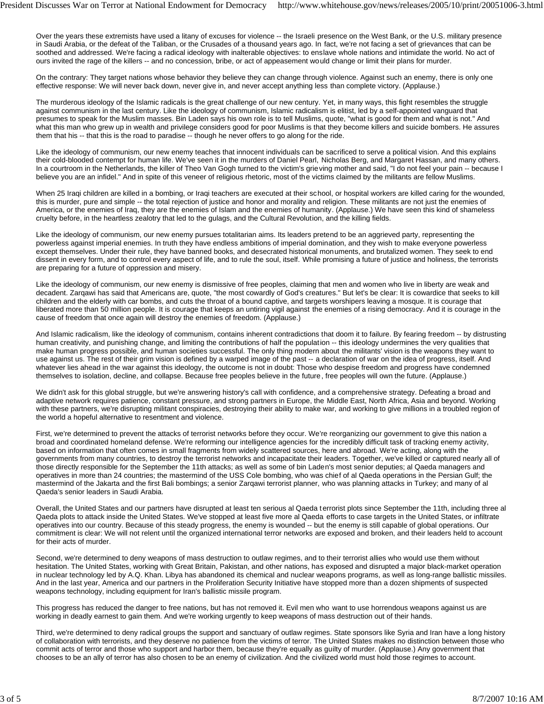Over the years these extremists have used a litany of excuses for violence -- the Israeli presence on the West Bank, or the U.S. military presence in Saudi Arabia, or the defeat of the Taliban, or the Crusades of a thousand years ago. In fact, we're not facing a set of grievances that can be soothed and addressed. We're facing a radical ideology with inalterable objectives: to enslave whole nations and intimidate the world. No act of ours invited the rage of the killers -- and no concession, bribe, or act of appeasement would change or limit their plans for murder.

On the contrary: They target nations whose behavior they believe they can change through violence. Against such an enemy, there is only one effective response: We will never back down, never give in, and never accept anything less than complete victory. (Applause.)

The murderous ideology of the Islamic radicals is the great challenge of our new century. Yet, in many ways, this fight resembles the struggle against communism in the last century. Like the ideology of communism, Islamic radicalism is elitist, led by a self-appointed vanguard that presumes to speak for the Muslim masses. Bin Laden says his own role is to tell Muslims, quote, "what is good for them and what is not." And what this man who grew up in wealth and privilege considers good for poor Muslims is that they become killers and suicide bombers. He assures them that his -- that this is the road to paradise -- though he never offers to go along for the ride.

Like the ideology of communism, our new enemy teaches that innocent individuals can be sacrificed to serve a political vision. And this explains their cold-blooded contempt for human life. We've seen it in the murders of Daniel Pearl, Nicholas Berg, and Margaret Hassan, and many others. In a courtroom in the Netherlands, the killer of Theo Van Gogh turned to the victim's grieving mother and said, "I do not feel your pain -- because I believe you are an infidel." And in spite of this veneer of religious rhetoric, most of the victims claimed by the militants are fellow Muslims.

When 25 Iraqi children are killed in a bombing, or Iraqi teachers are executed at their school, or hospital workers are killed caring for the wounded, this is murder, pure and simple -- the total rejection of justice and honor and morality and religion. These militants are not just the enemies of America, or the enemies of Iraq, they are the enemies of Islam and the enemies of humanity. (Applause.) We have seen this kind of shameless cruelty before, in the heartless zealotry that led to the gulags, and the Cultural Revolution, and the killing fields.

Like the ideology of communism, our new enemy pursues totalitarian aims. Its leaders pretend to be an aggrieved party, representing the powerless against imperial enemies. In truth they have endless ambitions of imperial domination, and they wish to make everyone powerless except themselves. Under their rule, they have banned books, and desecrated historical monuments, and brutalized women. They seek to end dissent in every form, and to control every aspect of life, and to rule the soul, itself. While promising a future of justice and holiness, the terrorists are preparing for a future of oppression and misery.

Like the ideology of communism, our new enemy is dismissive of free peoples, claiming that men and women who live in liberty are weak and decadent. Zarqawi has said that Americans are, quote, "the most cowardly of God's creatures." But let's be clear: It is cowardice that seeks to kill children and the elderly with car bombs, and cuts the throat of a bound captive, and targets worshipers leaving a mosque. It is courage that liberated more than 50 million people. It is courage that keeps an untiring vigil against the enemies of a rising democracy. And it is courage in the cause of freedom that once again will destroy the enemies of freedom. (Applause.)

And Islamic radicalism, like the ideology of communism, contains inherent contradictions that doom it to failure. By fearing freedom -- by distrusting human creativity, and punishing change, and limiting the contributions of half the population -- this ideology undermines the very qualities that make human progress possible, and human societies successful. The only thing modern about the militants' vision is the weapons they want to use against us. The rest of their grim vision is defined by a warped image of the past -- a declaration of war on the idea of progress, itself. And whatever lies ahead in the war against this ideology, the outcome is not in doubt: Those who despise freedom and progress have condemned themselves to isolation, decline, and collapse. Because free peoples believe in the future, free peoples will own the future. (Applause.)

We didn't ask for this global struggle, but we're answering history's call with confidence, and a comprehensive strategy. Defeating a broad and adaptive network requires patience, constant pressure, and strong partners in Europe, the Middle East, North Africa, Asia and beyond. Working with these partners, we're disrupting militant conspiracies, destroying their ability to make war, and working to give millions in a troubled region of the world a hopeful alternative to resentment and violence.

First, we're determined to prevent the attacks of terrorist networks before they occur. We're reorganizing our government to give this nation a broad and coordinated homeland defense. We're reforming our intelligence agencies for the incredibly difficult task of tracking enemy activity, based on information that often comes in small fragments from widely scattered sources, here and abroad. We're acting, along with the governments from many countries, to destroy the terrorist networks and incapacitate their leaders. Together, we've killed or captured nearly all of those directly responsible for the September the 11th attacks; as well as some of bin Laden's most senior deputies; al Qaeda managers and operatives in more than 24 countries; the mastermind of the USS Cole bombing, who was chief of al Qaeda operations in the Persian Gulf; the mastermind of the Jakarta and the first Bali bombings; a senior Zarqawi terrorist planner, who was planning attacks in Turkey; and many of al Qaeda's senior leaders in Saudi Arabia.

Overall, the United States and our partners have disrupted at least ten serious al Qaeda t errorist plots since September the 11th, including three al Qaeda plots to attack inside the United States. We've stopped at least five more al Qaeda efforts to case targets in the United States, or infiltrate operatives into our country. Because of this steady progress, the enemy is wounded -- but the enemy is still capable of global operations. Our commitment is clear: We will not relent until the organized international terror networks are exposed and broken, and their leaders held to account for their acts of murder.

Second, we're determined to deny weapons of mass destruction to outlaw regimes, and to their terrorist allies who would use them without hesitation. The United States, working with Great Britain, Pakistan, and other nations, has exposed and disrupted a major black-market operation in nuclear technology led by A.Q. Khan. Libya has abandoned its chemical and nuclear weapons programs, as well as long-range ballistic missiles. And in the last year, America and our partners in the Proliferation Security Initiative have stopped more than a dozen shipments of suspected weapons technology, including equipment for Iran's ballistic missile program.

This progress has reduced the danger to free nations, but has not removed it. Evil men who want to use horrendous weapons against us are working in deadly earnest to gain them. And we're working urgently to keep weapons of mass destruction out of their hands.

Third, we're determined to deny radical groups the support and sanctuary of outlaw regimes. State sponsors like Syria and Iran have a long history of collaboration with terrorists, and they deserve no patience from the victims of terror. The United States makes no distinction between those who commit acts of terror and those who support and harbor them, because they're equally as guilty of murder. (Applause.) Any government that chooses to be an ally of terror has also chosen to be an enemy of civilization. And the civilized world must hold those regimes to account.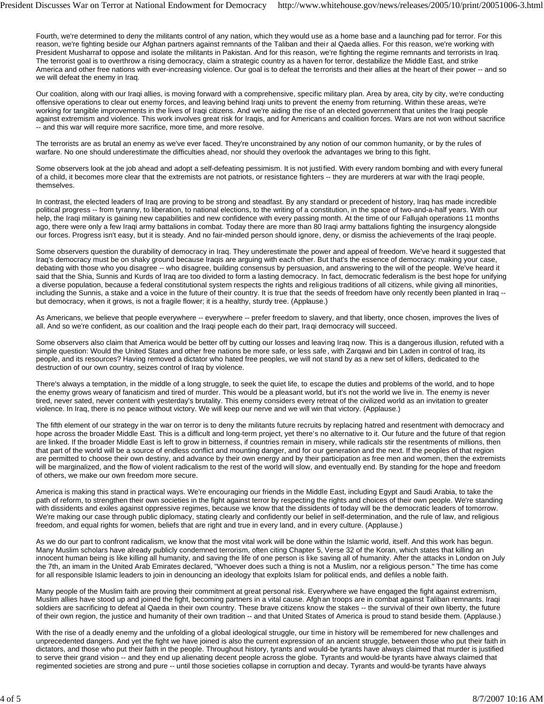Fourth, we're determined to deny the militants control of any nation, which they would use as a home base and a launching pad for terror. For this reason, we're fighting beside our Afghan partners against remnants of the Taliban and their al Qaeda allies. For this reason, we're working with President Musharraf to oppose and isolate the militants in Pakistan. And for this reason, we're fighting the regime remnants and terrorists in Iraq. The terrorist goal is to overthrow a rising democracy, claim a strategic country as a haven for terror, destabilize the Middle East, and strike America and other free nations with ever-increasing violence. Our goal is to defeat the terrorists and their allies at the heart of their power -- and so we will defeat the enemy in Iraq.

Our coalition, along with our Iraqi allies, is moving forward with a comprehensive, specific military plan. Area by area, city by city, we're conducting offensive operations to clear out enemy forces, and leaving behind Iraqi units to prevent the enemy from returning. Within these areas, we're working for tangible improvements in the lives of Iraqi citizens. And we're aiding the rise of an elected government that unites the Iraqi people against extremism and violence. This work involves great risk for Iraqis, and for Americans and coalition forces. Wars are not won without sacrifice -- and this war will require more sacrifice, more time, and more resolve.

The terrorists are as brutal an enemy as we've ever faced. They're unconstrained by any notion of our common humanity, or by the rules of warfare. No one should underestimate the difficulties ahead, nor should they overlook the advantages we bring to this fight.

Some observers look at the job ahead and adopt a self-defeating pessimism. It is not justified. With every random bombing and with every funeral of a child, it becomes more clear that the extremists are not patriots, or resistance fighters -- they are murderers at war with the Iraqi people, themselves.

In contrast, the elected leaders of Iraq are proving to be strong and steadfast. By any standard or precedent of history, Iraq has made incredible political progress -- from tyranny, to liberation, to national elections, to the writing of a constitution, in the space of two-and-a-half years. With our help, the Iraqi military is gaining new capabilities and new confidence with every passing month. At the time of our Fallujah operations 11 months ago, there were only a few Iraqi army battalions in combat. Today there are more than 80 Iraqi army battalions fighting the insurgency alongside our forces. Progress isn't easy, but it is steady. And no fair-minded person should ignore, deny, or dismiss the achievements of the Iraqi people.

Some observers question the durability of democracy in Iraq. They underestimate the power and appeal of freedom. We've heard it suggested that Iraq's democracy must be on shaky ground because Iraqis are arguing with each other. But that's the essence of democracy: making your case, debating with those who you disagree -- who disagree, building consensus by persuasion, and answering to the will of the people. We've heard it said that the Shia, Sunnis and Kurds of Iraq are too divided to form a lasting democracy. In fact, democratic federalism is the best hope for unifying a diverse population, because a federal constitutional system respects the rights and religious traditions of all citizens, while giving all minorities, including the Sunnis, a stake and a voice in the future of their country. It is true that the seeds of freedom have only recently been planted in Iraq -but democracy, when it grows, is not a fragile flower; it is a healthy, sturdy tree. (Applause.)

As Americans, we believe that people everywhere -- everywhere -- prefer freedom to slavery, and that liberty, once chosen, improves the lives of all. And so we're confident, as our coalition and the Iraqi people each do their part, Iraqi democracy will succeed.

Some observers also claim that America would be better off by cutting our losses and leaving Iraq now. This is a dangerous illusion, refuted with a simple question: Would the United States and other free nations be more safe, or less safe, with Zarqawi and bin Laden in control of Iraq, its people, and its resources? Having removed a dictator who hated free peoples, we will not stand by as a new set of killers, dedicated to the destruction of our own country, seizes control of Iraq by violence.

There's always a temptation, in the middle of a long struggle, to seek the quiet life, to escape the duties and problems of the world, and to hope the enemy grows weary of fanaticism and tired of murder. This would be a pleasant world, but it's not the world we live in. The enemy is never tired, never sated, never content with yesterday's brutality. This enemy considers every retreat of the civilized world as an invitation to greater violence. In Iraq, there is no peace without victory. We will keep our nerve and we will win that victory. (Applause.)

The fifth element of our strategy in the war on terror is to deny the militants future recruits by replacing hatred and resentment with democracy and hope across the broader Middle East. This is a difficult and long-term project, yet there's no alternative to it. Our future and the future of that region are linked. If the broader Middle East is left to grow in bitterness, if countries remain in misery, while radicals stir the resentments of millions, then that part of the world will be a source of endless conflict and mounting danger, and for our generation and the next. If the peoples of that region are permitted to choose their own destiny, and advance by their own energy and by their participation as free men and women, then the extremists will be marginalized, and the flow of violent radicalism to the rest of the world will slow, and eventually end. By standing for the hope and freedom of others, we make our own freedom more secure.

America is making this stand in practical ways. We're encouraging our friends in the Middle East, including Egypt and Saudi Arabia, to take the path of reform, to strengthen their own societies in the fight against terror by respecting the rights and choices of their own people. We're standing with dissidents and exiles against oppressive regimes, because we know that the dissidents of today will be the democratic leaders of tomorrow. We're making our case through public diplomacy, stating clearly and confidently our belief in self-determination, and the rule of law, and religious freedom, and equal rights for women, beliefs that are right and true in every land, and in every culture. (Applause.)

As we do our part to confront radicalism, we know that the most vital work will be done within the Islamic world, itself. And this work has begun. Many Muslim scholars have already publicly condemned terrorism, often citing Chapter 5, Verse 32 of the Koran, which states that killing an innocent human being is like killing all humanity, and saving the life of one person is like saving all of humanity. After the attacks in London on July the 7th, an imam in the United Arab Emirates declared, "Whoever does such a thing is not a Muslim, nor a religious person." The time has come for all responsible Islamic leaders to join in denouncing an ideology that exploits Islam for political ends, and defiles a noble faith.

Many people of the Muslim faith are proving their commitment at great personal risk. Everywhere we have engaged the fight against extremism, Muslim allies have stood up and joined the fight, becoming partners in a vital cause. Afghan troops are in combat against Taliban remnants. Iraqi soldiers are sacrificing to defeat al Qaeda in their own country. These brave citizens know the stakes -- the survival of their own liberty, the future of their own region, the justice and humanity of their own tradition -- and that United States of America is proud to stand beside them. (Applause.)

With the rise of a deadly enemy and the unfolding of a global ideological struggle, our time in history will be remembered for new challenges and unprecedented dangers. And yet the fight we have joined is also the current expression of an ancient struggle, between those who put their faith in dictators, and those who put their faith in the people. Throughout history, tyrants and would-be tyrants have always claimed that murder is justified to serve their grand vision -- and they end up alienating decent people across the globe. Tyrants and would-be tyrants have always claimed that regimented societies are strong and pure -- until those societies collapse in corruption and decay. Tyrants and would-be tyrants have always